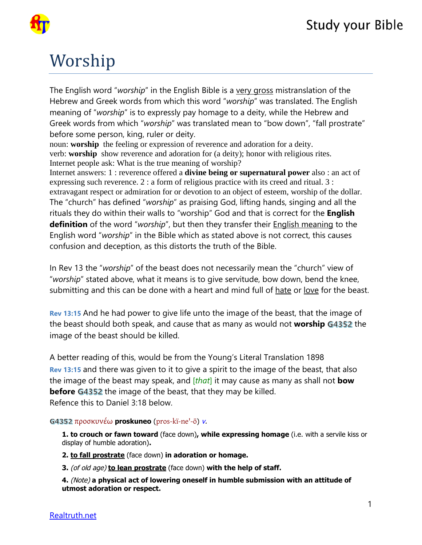

# Worship

The English word "*worship*" in the English Bible is a very gross mistranslation of the Hebrew and Greek words from which this word "*worship*" was translated. The English meaning of "*worship*" is to expressly pay homage to a deity, while the Hebrew and Greek words from which "*worship*" was translated mean to "bow down", "fall prostrate" before some person, king, ruler or deity.

noun: **worship** the feeling or expression of reverence and adoration for a deity. verb: **worship** show reverence and adoration for (a deity); honor with religious rites. Internet people ask: What is the true meaning of worship?

Internet answers: 1 : reverence offered a **divine being or supernatural power** also : an act of expressing such reverence. 2 : a form of religious practice with its creed and ritual. 3 : extravagant respect or admiration for or devotion to an object of esteem, worship of the dollar. The "church" has defined "*worship*" as praising God, lifting hands, singing and all the rituals they do within their walls to "worship" God and that is correct for the **English definition** of the word "*worship*", but then they transfer their English meaning to the English word "*worship*" in the Bible which as stated above is not correct, this causes confusion and deception, as this distorts the truth of the Bible.

In Rev 13 the "*worship*" of the beast does not necessarily mean the "church" view of "*worship*" stated above, what it means is to give servitude, bow down, bend the knee, submitting and this can be done with a heart and mind full of hate or love for the beast.

**Rev 13:15** And he had power to give life unto the image of the beast, that the image of the beast should both speak, and cause that as many as would not **worship** G4352 the image of the beast should be killed.

A better reading of this, would be from the Young's Literal Translation 1898 **Rev 13:15** and there was given to it to give a spirit to the image of the beast, that also the image of the beast may speak, and [*that*] it may cause as many as shall not **bow before** G4352 the image of the beast, that they may be killed. Refence this to Daniel 3:18 below.

προσκυνέω **proskuneo** ([pros-kï-ne'-ō](tw://[self]?tid=14)) [v](tw://[self]?tid=1000000#V-).

**1. to crouch or fawn toward** (face down)**, while expressing homage** (i.e. with a servile kiss or display of humble adoration)**.** 

**2. to fall prostrate** (face down) **in adoration or homage.** 

**3.** (of old age) **to lean prostrate** (face down) **with the help of staff.** 

**4.** (Note) **a physical act of lowering oneself in humble submission with an attitude of utmost adoration or respect.**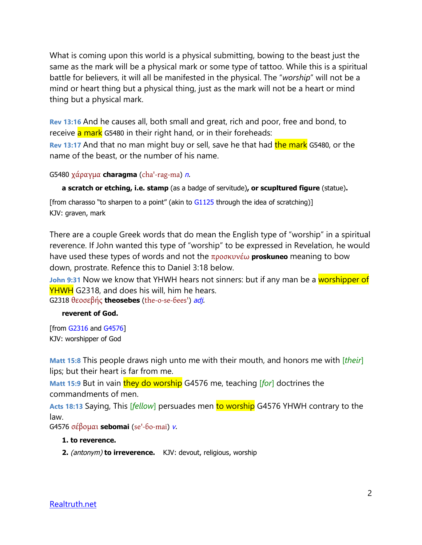What is coming upon this world is a physical submitting, bowing to the beast just the same as the mark will be a physical mark or some type of tattoo. While this is a spiritual battle for believers, it will all be manifested in the physical. The "*worship*" will not be a mind or heart thing but a physical thing, just as the mark will not be a heart or mind thing but a physical mark.

**Rev 13:16** And he causes all, both small and great, rich and poor, free and bond, to receive a mark G5480 in their right hand, or in their foreheads:

**Rev 13:17** And that no man might buy or sell, save he that had the mark G5480, or the name of the beast, or the number of his name.

```
G5480 χάραγμα charagma (cha'-rag-ma) n.
```
**a scratch or etching, i.e. stamp** (as a badge of servitude)**, or scupltured figure** (statue)**.** 

[from charasso "to sharpen to a point" (akin to [G1125](tw://[self]?G1125) through the idea of scratching)] KJV: graven, mark

There are a couple Greek words that do mean the English type of "worship" in a spiritual reverence. If John wanted this type of "worship" to be expressed in Revelation, he would have used these types of words and not the προσκυνέω **proskuneo** meaning to bow down, prostrate. Refence this to Daniel 3:18 below.

**John 9:31** Now we know that YHWH hears not sinners: but if any man be a worshipper of YHWH G2318, and does his will, him he hears.

G2318 θεοσεβής **theosebes** ([the-o-se-ɓees'](tw://[self]?tid=14)) [adj](tw://[self]?tid=1000000#ADJ-).

#### **reverent of God.**

```
[from G2316 and G4576] 
KJV: worshipper of God
```
**Matt 15:8** This people draws nigh unto me with their mouth, and honors me with [*their*] lips; but their heart is far from me.

**Matt 15:9 But in vain they do worship** G4576 me, teaching [*for*] doctrines the commandments of men.

**Acts 18:13** Saying, This [*fellow*] persuades men to worship G4576 YHWH contrary to the law.

G4576 σέβομαι **sebomai** ([se'-ɓo-mai](tw://[self]?tid=14)) [v](tw://[self]?tid=1000000#V-).

#### **1. to reverence.**

**2.** (antonym) **to irreverence.** KJV: devout, religious, worship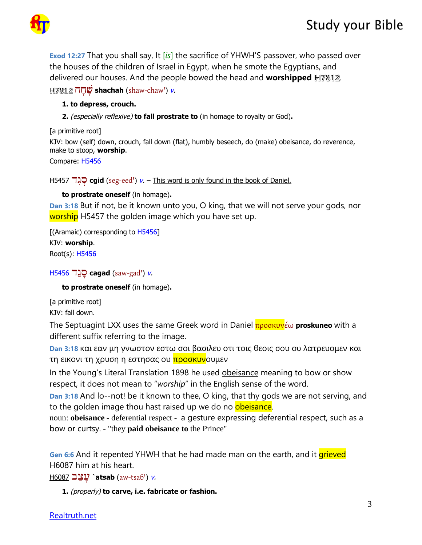

**Exod 12:27** That you shall say, It [*is*] the sacrifice of YHWH'S passover, who passed over the houses of the children of Israel in Egypt, when he smote the Egyptians, and delivered our houses. And the people bowed the head and **worshipped** H7812. הָחָׁש **shachah** ([shaw-chaw'](tw://[self]?tid=15)) [v](tw://[self]?tid=1000000#V-).

### **1. to depress, crouch.**

**2.** (especially reflexive) **to fall prostrate to** (in homage to royalty or God)**.** 

[a primitive root] KJV: bow (self) down, crouch, fall down (flat), humbly beseech, do (make) obeisance, do reverence, make to stoop, **worship**. Compare: H5456

H5457 דִגְס **cgid** ([seg-eed'](tw://[self]?tid=15)) [v](tw://[self]?tid=1000000#V-). – This word is only found in the book of Daniel.

**to prostrate oneself** (in homage)**.** 

**Dan 3:18** But if not, be it known unto you, O king, that we will not serve your gods, nor worship H5457 the golden image which you have set up.

[(Aramaic) corresponding to H5456] KJV: **worship**. Root(s): H5456

## H5456 דַגָס **cagad** ([saw-gad'](tw://[self]?tid=15)) [v](tw://[self]?tid=1000000#V-).

**to prostrate oneself** (in homage)**.** 

[a primitive root] KJV: fall down.

The Septuagint LXX uses the same Greek word in Daniel προσκυνέω **proskuneo** with a different suffix referring to the image.

**Dan 3:18** και εαν μη γνωστον εστω σοι βασιλευ οτι τοις θεοις σου ου λατρευομεν και τη εικονι τη χρυση η εστησας ου <mark>προσκυν</mark>ουμεν

In the Young's Literal Translation 1898 he used obeisance meaning to bow or show respect, it does not mean to "*worship*" in the English sense of the word.

**Dan 3:18** And lo--not! be it known to thee, O king, that thy gods we are not serving, and to the golden image thou hast raised up we do no obeisance.

noun: **obeisance -** deferential respect - a gesture expressing deferential respect, such as a bow or curtsy. - "they **paid obeisance to** the Prince"

**Gen 6:6** And it repented YHWH that he had made man on the earth, and it *grieved* H6087 him at his heart.

H6087 בַצָע**` atsab** ([aw-tsaɓ'](tw://[self]?tid=15)) [v](tw://[self]?tid=1000000#V-).

**1.** (properly) **to carve, i.e. fabricate or fashion.**